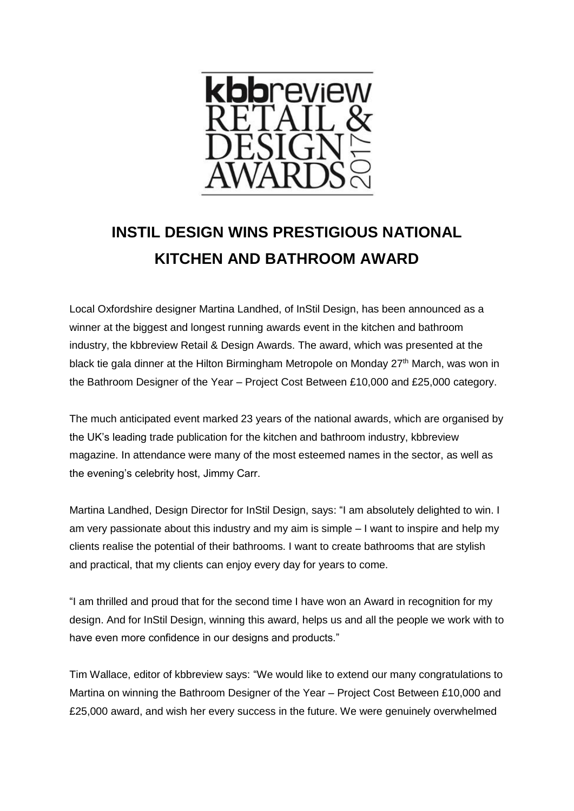

## **INSTIL DESIGN WINS PRESTIGIOUS NATIONAL KITCHEN AND BATHROOM AWARD**

Local Oxfordshire designer Martina Landhed, of InStil Design, has been announced as a winner at the biggest and longest running awards event in the kitchen and bathroom industry, the kbbreview Retail & Design Awards. The award, which was presented at the black tie gala dinner at the Hilton Birmingham Metropole on Monday  $27<sup>th</sup>$  March, was won in the Bathroom Designer of the Year – Project Cost Between £10,000 and £25,000 category.

The much anticipated event marked 23 years of the national awards, which are organised by the UK's leading trade publication for the kitchen and bathroom industry, kbbreview magazine. In attendance were many of the most esteemed names in the sector, as well as the evening's celebrity host, Jimmy Carr.

Martina Landhed, Design Director for InStil Design, says: "I am absolutely delighted to win. I am very passionate about this industry and my aim is simple – I want to inspire and help my clients realise the potential of their bathrooms. I want to create bathrooms that are stylish and practical, that my clients can enjoy every day for years to come.

"I am thrilled and proud that for the second time I have won an Award in recognition for my design. And for InStil Design, winning this award, helps us and all the people we work with to have even more confidence in our designs and products."

Tim Wallace, editor of kbbreview says: "We would like to extend our many congratulations to Martina on winning the Bathroom Designer of the Year – Project Cost Between £10,000 and £25,000 award, and wish her every success in the future. We were genuinely overwhelmed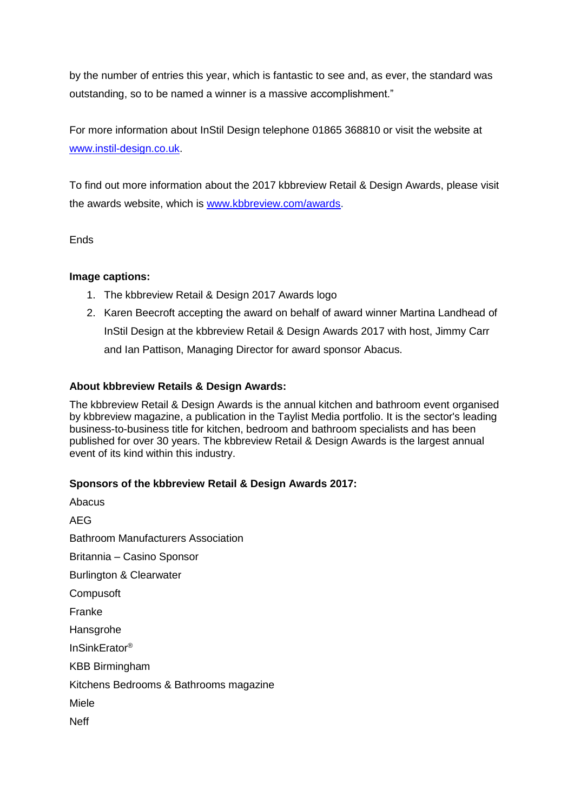by the number of entries this year, which is fantastic to see and, as ever, the standard was outstanding, so to be named a winner is a massive accomplishment."

For more information about InStil Design telephone 01865 368810 or visit the website at [www.instil-design.co.uk.](http://www.instil-design.co.uk/)

To find out more information about the 2017 kbbreview Retail & Design Awards, please visit the awards website, which is [www.kbbreview.com/awards.](http://www.kbbreview.com/awards)

**Ends** 

## **Image captions:**

- 1. The kbbreview Retail & Design 2017 Awards logo
- 2. Karen Beecroft accepting the award on behalf of award winner Martina Landhead of InStil Design at the kbbreview Retail & Design Awards 2017 with host, Jimmy Carr and Ian Pattison, Managing Director for award sponsor Abacus.

## **About kbbreview Retails & Design Awards:**

The kbbreview Retail & Design Awards is the annual kitchen and bathroom event organised by kbbreview magazine, a publication in the Taylist Media portfolio. It is the sector's leading business-to-business title for kitchen, bedroom and bathroom specialists and has been published for over 30 years. The kbbreview Retail & Design Awards is the largest annual event of its kind within this industry.

## **Sponsors of the kbbreview Retail & Design Awards 2017:**

Abacus AEG Bathroom Manufacturers Association Britannia – Casino Sponsor Burlington & Clearwater **Compusoft** Franke **Hansgrohe** InSinkErator® KBB Birmingham Kitchens Bedrooms & Bathrooms magazine Miele Neff